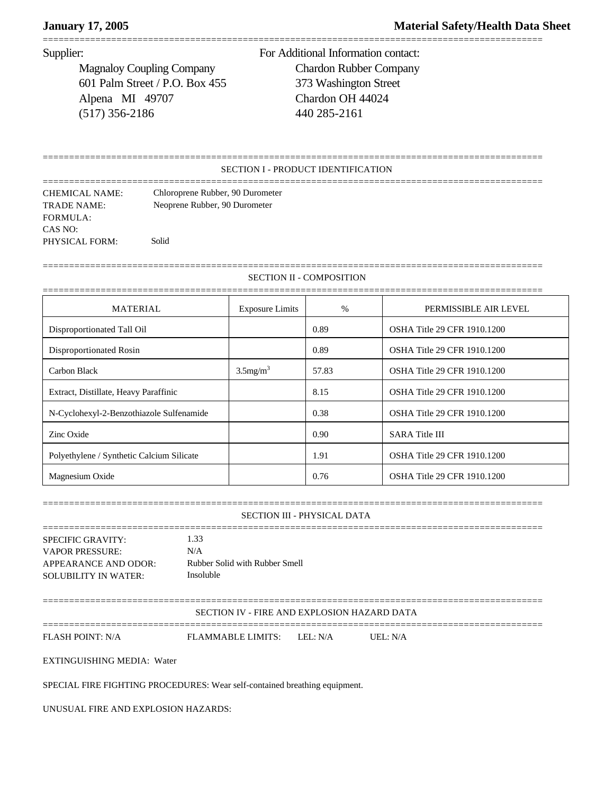# **January 17, 2005 Material Safety/Health Data Sheet**

===============================================================================================

Magnaloy Coupling Company Chardon Rubber Company 601 Palm Street / P.O. Box 455 373 Washington Street Alpena MI 49707 Chardon OH 44024 (517) 356-2186 440 285-2161

Supplier: For Additional Information contact:

## SECTION I - PRODUCT IDENTIFICATION

===============================================================================================

=============================================================================================== CHEMICAL NAME: Chloroprene Rubber, 90 Durometer TRADE NAME: Neoprene Rubber, 90 Durometer FORMULA: CAS NO: PHYSICAL FORM: Solid

SECTION II - COMPOSITION

===============================================================================================

| <b>MATERIAL</b>                           | <b>Exposure Limits</b>  | $\frac{0}{0}$ | PERMISSIBLE AIR LEVEL              |
|-------------------------------------------|-------------------------|---------------|------------------------------------|
| Disproportionated Tall Oil                |                         | 0.89          | OSHA Title 29 CFR 1910.1200        |
| Disproportionated Rosin                   |                         | 0.89          | <b>OSHA Title 29 CFR 1910.1200</b> |
| Carbon Black                              | $3.5$ mg/m <sup>3</sup> | 57.83         | <b>OSHA Title 29 CFR 1910.1200</b> |
| Extract, Distillate, Heavy Paraffinic     |                         | 8.15          | <b>OSHA Title 29 CFR 1910.1200</b> |
| N-Cyclohexyl-2-Benzothiazole Sulfenamide  |                         | 0.38          | <b>OSHA Title 29 CFR 1910.1200</b> |
| Zinc Oxide                                |                         | 0.90          | <b>SARA</b> Title III              |
| Polyethylene / Synthetic Calcium Silicate |                         | 1.91          | <b>OSHA Title 29 CFR 1910.1200</b> |
| Magnesium Oxide                           |                         | 0.76          | OSHA Title 29 CFR 1910.1200        |

===============================================================================================

### SECTION III - PHYSICAL DATA

=============================================================================================== SPECIFIC GRAVITY: 1.33 VAPOR PRESSURE: N/A APPEARANCE AND ODOR: Rubber Solid with Rubber Smell SOLUBILITY IN WATER: Insoluble

===============================================================================================

SECTION IV - FIRE AND EXPLOSION HAZARD DATA

===============================================================================================

FLASH POINT: N/A FLAMMABLE LIMITS: LEL: N/A UEL: N/A

EXTINGUISHING MEDIA: Water

SPECIAL FIRE FIGHTING PROCEDURES: Wear self-contained breathing equipment.

UNUSUAL FIRE AND EXPLOSION HAZARDS: